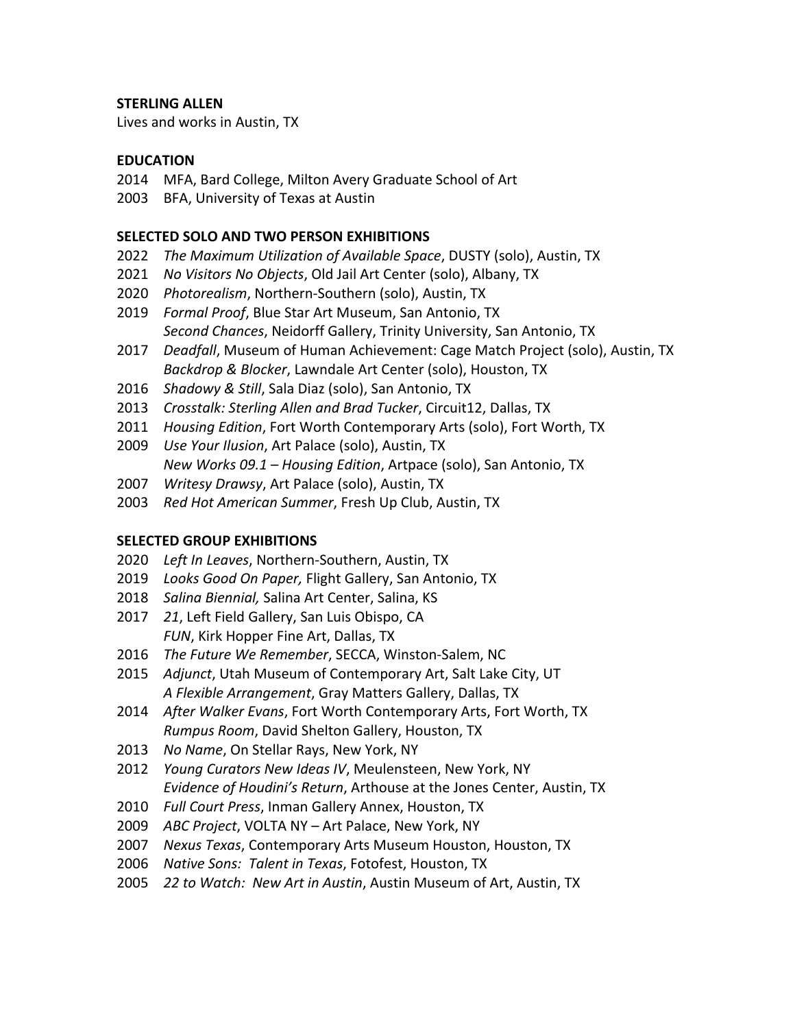# **STERLING ALLEN**

Lives and works in Austin, TX

# **EDUCATION**

- MFA, Bard College, Milton Avery Graduate School of Art
- BFA, University of Texas at Austin

# **SELECTED SOLO AND TWO PERSON EXHIBITIONS**

- *The Maximum Utilization of Available Space*, DUSTY (solo), Austin, TX
- *No Visitors No Objects*, Old Jail Art Center (solo), Albany, TX
- *Photorealism*, Northern-Southern (solo), Austin, TX
- *Formal Proof*, Blue Star Art Museum, San Antonio, TX *Second Chances*, Neidorff Gallery, Trinity University, San Antonio, TX
- *Deadfall*, Museum of Human Achievement: Cage Match Project (solo), Austin, TX *Backdrop & Blocker*, Lawndale Art Center (solo), Houston, TX
- *Shadowy & Still*, Sala Diaz (solo), San Antonio, TX
- *Crosstalk: Sterling Allen and Brad Tucker*, Circuit12, Dallas, TX
- *Housing Edition*, Fort Worth Contemporary Arts (solo), Fort Worth, TX
- *Use Your Ilusion*, Art Palace (solo), Austin, TX *New Works 09.1 – Housing Edition*, Artpace (solo), San Antonio, TX
- *Writesy Drawsy*, Art Palace (solo), Austin, TX
- *Red Hot American Summer*, Fresh Up Club, Austin, TX

### **SELECTED GROUP EXHIBITIONS**

- *Left In Leaves*, Northern-Southern, Austin, TX
- *Looks Good On Paper,* Flight Gallery, San Antonio, TX
- *Salina Biennial,* Salina Art Center, Salina, KS
- *21*, Left Field Gallery, San Luis Obispo, CA *FUN*, Kirk Hopper Fine Art, Dallas, TX
- *The Future We Remember*, SECCA, Winston-Salem, NC
- *Adjunct*, Utah Museum of Contemporary Art, Salt Lake City, UT *A Flexible Arrangement*, Gray Matters Gallery, Dallas, TX
- *After Walker Evans*, Fort Worth Contemporary Arts, Fort Worth, TX *Rumpus Room*, David Shelton Gallery, Houston, TX
- *No Name*, On Stellar Rays, New York, NY
- *Young Curators New Ideas IV*, Meulensteen, New York, NY *Evidence of Houdini's Return*, Arthouse at the Jones Center, Austin, TX
- *Full Court Press*, Inman Gallery Annex, Houston, TX
- *ABC Project*, VOLTA NY Art Palace, New York, NY
- *Nexus Texas*, Contemporary Arts Museum Houston, Houston, TX
- *Native Sons: Talent in Texas*, Fotofest, Houston, TX
- *22 to Watch: New Art in Austin*, Austin Museum of Art, Austin, TX